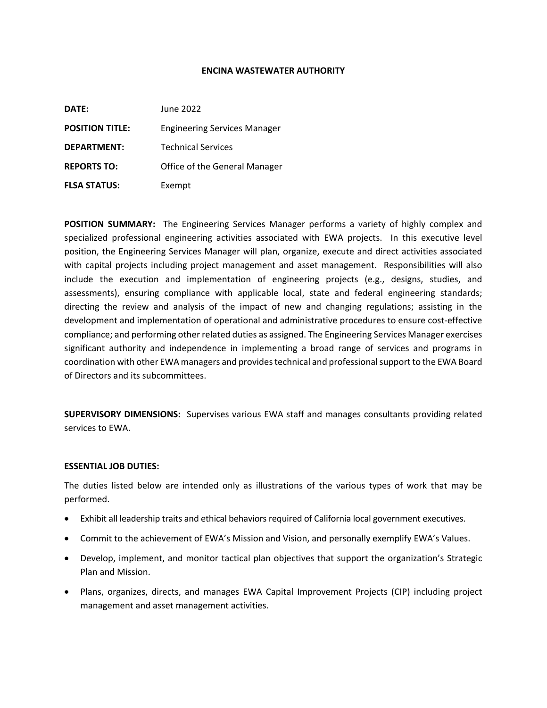#### **ENCINA WASTEWATER AUTHORITY**

| DATE:                  | June 2022                           |
|------------------------|-------------------------------------|
| <b>POSITION TITLE:</b> | <b>Engineering Services Manager</b> |
| <b>DEPARTMENT:</b>     | <b>Technical Services</b>           |
| <b>REPORTS TO:</b>     | Office of the General Manager       |
| <b>FLSA STATUS:</b>    | Exempt                              |

**POSITION SUMMARY:** The Engineering Services Manager performs a variety of highly complex and specialized professional engineering activities associated with EWA projects. In this executive level position, the Engineering Services Manager will plan, organize, execute and direct activities associated with capital projects including project management and asset management. Responsibilities will also include the execution and implementation of engineering projects (e.g., designs, studies, and assessments), ensuring compliance with applicable local, state and federal engineering standards; directing the review and analysis of the impact of new and changing regulations; assisting in the development and implementation of operational and administrative procedures to ensure cost-effective compliance; and performing other related duties as assigned. The Engineering Services Manager exercises significant authority and independence in implementing a broad range of services and programs in coordination with other EWA managers and provides technical and professional support to the EWA Board of Directors and its subcommittees.

**SUPERVISORY DIMENSIONS:** Supervises various EWA staff and manages consultants providing related services to EWA.

#### **ESSENTIAL JOB DUTIES:**

The duties listed below are intended only as illustrations of the various types of work that may be performed.

- Exhibit all leadership traits and ethical behaviors required of California local government executives.
- Commit to the achievement of EWA's Mission and Vision, and personally exemplify EWA's Values.
- Develop, implement, and monitor tactical plan objectives that support the organization's Strategic Plan and Mission.
- Plans, organizes, directs, and manages EWA Capital Improvement Projects (CIP) including project management and asset management activities.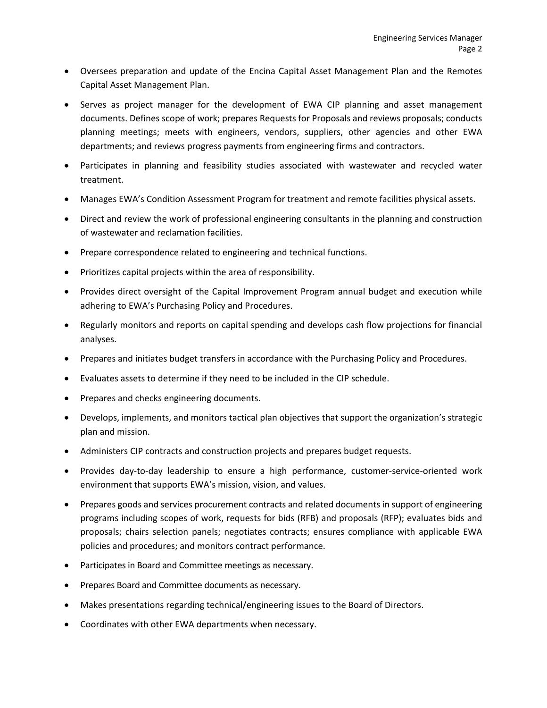- Oversees preparation and update of the Encina Capital Asset Management Plan and the Remotes Capital Asset Management Plan.
- Serves as project manager for the development of EWA CIP planning and asset management documents. Defines scope of work; prepares Requests for Proposals and reviews proposals; conducts planning meetings; meets with engineers, vendors, suppliers, other agencies and other EWA departments; and reviews progress payments from engineering firms and contractors.
- Participates in planning and feasibility studies associated with wastewater and recycled water treatment.
- Manages EWA's Condition Assessment Program for treatment and remote facilities physical assets.
- Direct and review the work of professional engineering consultants in the planning and construction of wastewater and reclamation facilities.
- Prepare correspondence related to engineering and technical functions.
- Prioritizes capital projects within the area of responsibility.
- Provides direct oversight of the Capital Improvement Program annual budget and execution while adhering to EWA's Purchasing Policy and Procedures.
- Regularly monitors and reports on capital spending and develops cash flow projections for financial analyses.
- Prepares and initiates budget transfers in accordance with the Purchasing Policy and Procedures.
- Evaluates assets to determine if they need to be included in the CIP schedule.
- Prepares and checks engineering documents.
- Develops, implements, and monitors tactical plan objectives that support the organization's strategic plan and mission.
- Administers CIP contracts and construction projects and prepares budget requests.
- Provides day-to-day leadership to ensure a high performance, customer-service-oriented work environment that supports EWA's mission, vision, and values.
- Prepares goods and services procurement contracts and related documents in support of engineering programs including scopes of work, requests for bids (RFB) and proposals (RFP); evaluates bids and proposals; chairs selection panels; negotiates contracts; ensures compliance with applicable EWA policies and procedures; and monitors contract performance.
- Participates in Board and Committee meetings as necessary.
- Prepares Board and Committee documents as necessary.
- Makes presentations regarding technical/engineering issues to the Board of Directors.
- Coordinates with other EWA departments when necessary.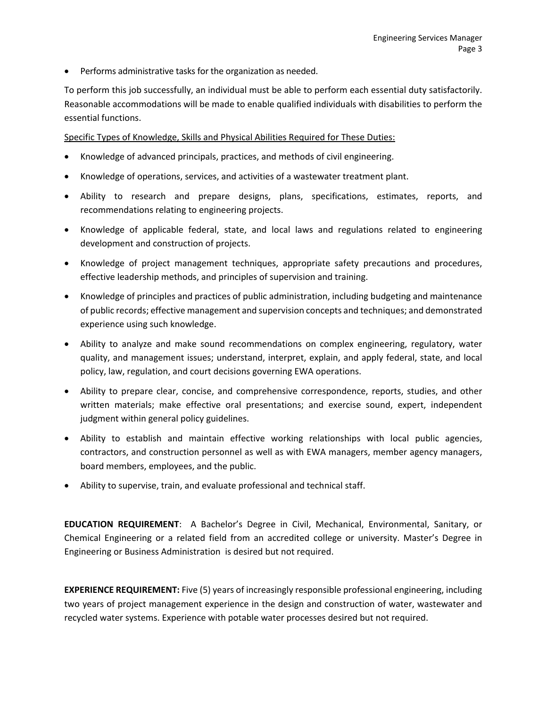• Performs administrative tasks for the organization as needed.

To perform this job successfully, an individual must be able to perform each essential duty satisfactorily. Reasonable accommodations will be made to enable qualified individuals with disabilities to perform the essential functions.

Specific Types of Knowledge, Skills and Physical Abilities Required for These Duties:

- Knowledge of advanced principals, practices, and methods of civil engineering.
- Knowledge of operations, services, and activities of a wastewater treatment plant.
- Ability to research and prepare designs, plans, specifications, estimates, reports, and recommendations relating to engineering projects.
- Knowledge of applicable federal, state, and local laws and regulations related to engineering development and construction of projects.
- Knowledge of project management techniques, appropriate safety precautions and procedures, effective leadership methods, and principles of supervision and training.
- Knowledge of principles and practices of public administration, including budgeting and maintenance of public records; effective management and supervision concepts and techniques; and demonstrated experience using such knowledge.
- Ability to analyze and make sound recommendations on complex engineering, regulatory, water quality, and management issues; understand, interpret, explain, and apply federal, state, and local policy, law, regulation, and court decisions governing EWA operations.
- Ability to prepare clear, concise, and comprehensive correspondence, reports, studies, and other written materials; make effective oral presentations; and exercise sound, expert, independent judgment within general policy guidelines.
- Ability to establish and maintain effective working relationships with local public agencies, contractors, and construction personnel as well as with EWA managers, member agency managers, board members, employees, and the public.
- Ability to supervise, train, and evaluate professional and technical staff.

**EDUCATION REQUIREMENT**: A Bachelor's Degree in Civil, Mechanical, Environmental, Sanitary, or Chemical Engineering or a related field from an accredited college or university. Master's Degree in Engineering or Business Administration is desired but not required.

**EXPERIENCE REQUIREMENT:** Five (5) years of increasingly responsible professional engineering, including two years of project management experience in the design and construction of water, wastewater and recycled water systems. Experience with potable water processes desired but not required.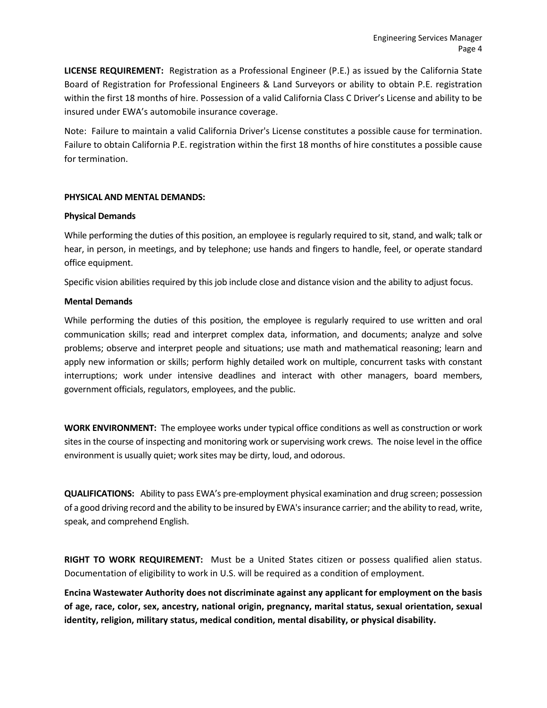**LICENSE REQUIREMENT:** Registration as a Professional Engineer (P.E.) as issued by the California State Board of Registration for Professional Engineers & Land Surveyors or ability to obtain P.E. registration within the first 18 months of hire. Possession of a valid California Class C Driver's License and ability to be insured under EWA's automobile insurance coverage.

Note: Failure to maintain a valid California Driver's License constitutes a possible cause for termination. Failure to obtain California P.E. registration within the first 18 months of hire constitutes a possible cause for termination.

## **PHYSICAL AND MENTAL DEMANDS:**

## **Physical Demands**

While performing the duties of this position, an employee is regularly required to sit, stand, and walk; talk or hear, in person, in meetings, and by telephone; use hands and fingers to handle, feel, or operate standard office equipment.

Specific vision abilities required by this job include close and distance vision and the ability to adjust focus.

# **Mental Demands**

While performing the duties of this position, the employee is regularly required to use written and oral communication skills; read and interpret complex data, information, and documents; analyze and solve problems; observe and interpret people and situations; use math and mathematical reasoning; learn and apply new information or skills; perform highly detailed work on multiple, concurrent tasks with constant interruptions; work under intensive deadlines and interact with other managers, board members, government officials, regulators, employees, and the public.

**WORK ENVIRONMENT:** The employee works under typical office conditions as well as construction or work sites in the course of inspecting and monitoring work or supervising work crews. The noise level in the office environment is usually quiet; work sites may be dirty, loud, and odorous.

**QUALIFICATIONS:** Ability to pass EWA's pre-employment physical examination and drug screen; possession of a good driving record and the ability to be insured by EWA's insurance carrier; and the ability to read, write, speak, and comprehend English.

**RIGHT TO WORK REQUIREMENT:** Must be a United States citizen or possess qualified alien status. Documentation of eligibility to work in U.S. will be required as a condition of employment.

**Encina Wastewater Authority does not discriminate against any applicant for employment on the basis of age, race, color, sex, ancestry, national origin, pregnancy, marital status, sexual orientation, sexual identity, religion, military status, medical condition, mental disability, or physical disability.**